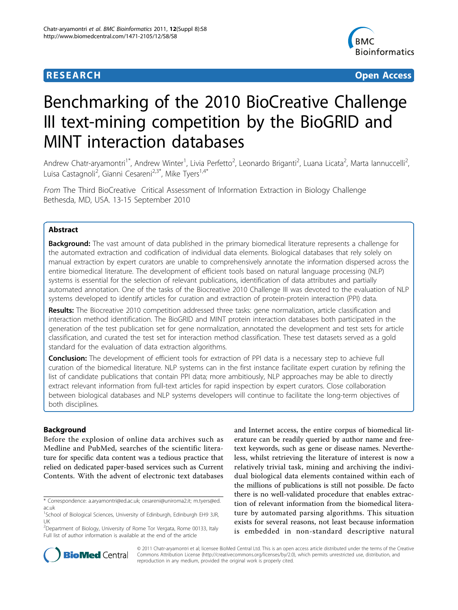# **RESEARCH CONSTRUCTION CONTROL**



# Benchmarking of the 2010 BioCreative Challenge III text-mining competition by the BioGRID and MINT interaction databases

Andrew Chatr-aryamontri<sup>1\*</sup>, Andrew Winter<sup>1</sup>, Livia Perfetto<sup>2</sup>, Leonardo Briganti<sup>2</sup>, Luana Licata<sup>2</sup>, Marta lannuccelli<sup>2</sup> , Luisa Castagnoli<sup>2</sup>, Gianni Cesareni<sup>2,3\*</sup>, Mike Tyers<sup>1,4\*</sup>

From The Third BioCreative Critical Assessment of Information Extraction in Biology Challenge Bethesda, MD, USA. 13-15 September 2010

# Abstract

**Background:** The vast amount of data published in the primary biomedical literature represents a challenge for the automated extraction and codification of individual data elements. Biological databases that rely solely on manual extraction by expert curators are unable to comprehensively annotate the information dispersed across the entire biomedical literature. The development of efficient tools based on natural language processing (NLP) systems is essential for the selection of relevant publications, identification of data attributes and partially automated annotation. One of the tasks of the Biocreative 2010 Challenge III was devoted to the evaluation of NLP systems developed to identify articles for curation and extraction of protein-protein interaction (PPI) data.

Results: The Biocreative 2010 competition addressed three tasks: gene normalization, article classification and interaction method identification. The BioGRID and MINT protein interaction databases both participated in the generation of the test publication set for gene normalization, annotated the development and test sets for article classification, and curated the test set for interaction method classification. These test datasets served as a gold standard for the evaluation of data extraction algorithms.

Conclusion: The development of efficient tools for extraction of PPI data is a necessary step to achieve full curation of the biomedical literature. NLP systems can in the first instance facilitate expert curation by refining the list of candidate publications that contain PPI data; more ambitiously, NLP approaches may be able to directly extract relevant information from full-text articles for rapid inspection by expert curators. Close collaboration between biological databases and NLP systems developers will continue to facilitate the long-term objectives of both disciplines.

# Background

Before the explosion of online data archives such as Medline and PubMed, searches of the scientific literature for specific data content was a tedious practice that relied on dedicated paper-based services such as Current Contents. With the advent of electronic text databases

and Internet access, the entire corpus of biomedical literature can be readily queried by author name and freetext keywords, such as gene or disease names. Nevertheless, whilst retrieving the literature of interest is now a relatively trivial task, mining and archiving the individual biological data elements contained within each of the millions of publications is still not possible. De facto there is no well-validated procedure that enables extraction of relevant information from the biomedical literature by automated parsing algorithms. This situation exists for several reasons, not least because information is embedded in non-standard descriptive natural



© 2011 Chatr-aryamontri et al; licensee BioMed Central Ltd. This is an open access article distributed under the terms of the Creative Commons Attribution License [\(http://creativecommons.org/licenses/by/2.0](http://creativecommons.org/licenses/by/2.0)), which permits unrestricted use, distribution, and reproduction in any medium, provided the original work is properly cited.

<sup>\*</sup> Correspondence: [a.aryamontri@ed.ac.uk;](mailto:a.aryamontri@ed.ac.uk) [cesareni@uniroma2.it;](mailto:cesareni@uniroma2.it) [m.tyers@ed.](mailto:m.tyers@ed.ac.uk) [ac.uk](mailto:m.tyers@ed.ac.uk)

<sup>&</sup>lt;sup>1</sup>School of Biological Sciences, University of Edinburgh, Edinburgh EH9 3JR, UK

<sup>&</sup>lt;sup>2</sup>Department of Biology, University of Rome Tor Vergata, Rome 00133, Italy Full list of author information is available at the end of the article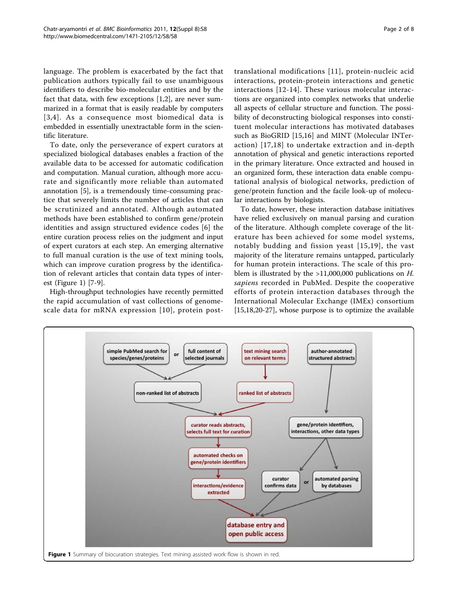language. The problem is exacerbated by the fact that publication authors typically fail to use unambiguous identifiers to describe bio-molecular entities and by the fact that data, with few exceptions [[1,](#page-6-0)[2\]](#page-7-0), are never summarized in a format that is easily readable by computers [[3,4\]](#page-7-0). As a consequence most biomedical data is embedded in essentially unextractable form in the scientific literature.

To date, only the perseverance of expert curators at specialized biological databases enables a fraction of the available data to be accessed for automatic codification and computation. Manual curation, although more accurate and significantly more reliable than automated annotation [[5\]](#page-7-0), is a tremendously time-consuming practice that severely limits the number of articles that can be scrutinized and annotated. Although automated methods have been established to confirm gene/protein identities and assign structured evidence codes [\[6\]](#page-7-0) the entire curation process relies on the judgment and input of expert curators at each step. An emerging alternative to full manual curation is the use of text mining tools, which can improve curation progress by the identification of relevant articles that contain data types of interest (Figure 1) [[7-9](#page-7-0)].

High-throughput technologies have recently permitted the rapid accumulation of vast collections of genomescale data for mRNA expression [[10](#page-7-0)], protein post-

translational modifications [[11\]](#page-7-0), protein-nucleic acid interactions, protein-protein interactions and genetic interactions [\[12-14\]](#page-7-0). These various molecular interactions are organized into complex networks that underlie all aspects of cellular structure and function. The possibility of deconstructing biological responses into constituent molecular interactions has motivated databases such as BioGRID [\[15,16](#page-7-0)] and MINT (Molecular INTeraction) [[17](#page-7-0),[18](#page-7-0)] to undertake extraction and in-depth annotation of physical and genetic interactions reported in the primary literature. Once extracted and housed in an organized form, these interaction data enable computational analysis of biological networks, prediction of gene/protein function and the facile look-up of molecular interactions by biologists.

To date, however, these interaction database initiatives have relied exclusively on manual parsing and curation of the literature. Although complete coverage of the literature has been achieved for some model systems, notably budding and fission yeast [[15,19](#page-7-0)], the vast majority of the literature remains untapped, particularly for human protein interactions. The scale of this problem is illustrated by the  $>11,000,000$  publications on H. sapiens recorded in PubMed. Despite the cooperative efforts of protein interaction databases through the International Molecular Exchange (IMEx) consortium [[15,18,20-27\]](#page-7-0), whose purpose is to optimize the available

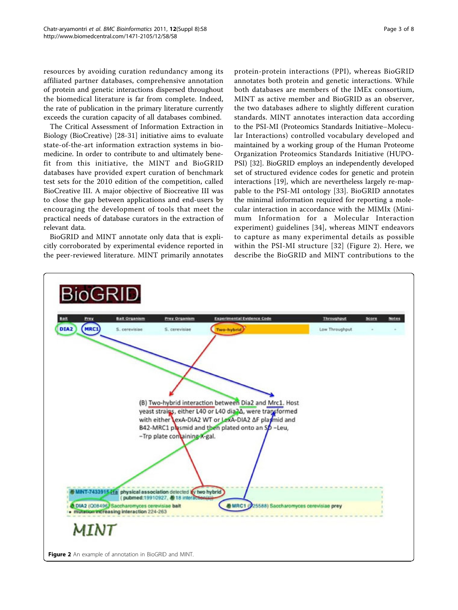resources by avoiding curation redundancy among its affiliated partner databases, comprehensive annotation of protein and genetic interactions dispersed throughout the biomedical literature is far from complete. Indeed, the rate of publication in the primary literature currently exceeds the curation capacity of all databases combined.

The Critical Assessment of Information Extraction in Biology (BioCreative) [\[28](#page-7-0)-[31\]](#page-7-0) initiative aims to evaluate state-of-the-art information extraction systems in biomedicine. In order to contribute to and ultimately benefit from this initiative, the MINT and BioGRID databases have provided expert curation of benchmark test sets for the 2010 edition of the competition, called BioCreative III. A major objective of Biocreative III was to close the gap between applications and end-users by encouraging the development of tools that meet the practical needs of database curators in the extraction of relevant data.

BioGRID and MINT annotate only data that is explicitly corroborated by experimental evidence reported in the peer-reviewed literature. MINT primarily annotates

protein-protein interactions (PPI), whereas BioGRID annotates both protein and genetic interactions. While both databases are members of the IMEx consortium, MINT as active member and BioGRID as an observer, the two databases adhere to slightly different curation standards. MINT annotates interaction data according to the PSI-MI (Proteomics Standards Initiative–Molecular Interactions) controlled vocabulary developed and maintained by a working group of the Human Proteome Organization Proteomics Standards Initiative (HUPO-PSI) [\[32\]](#page-7-0). BioGRID employs an independently developed set of structured evidence codes for genetic and protein interactions [[19](#page-7-0)], which are nevertheless largely re-mappable to the PSI-MI ontology [[33](#page-7-0)]. BioGRID annotates the minimal information required for reporting a molecular interaction in accordance with the MIMIx (Minimum Information for a Molecular Interaction experiment) guidelines [[34](#page-7-0)], whereas MINT endeavors to capture as many experimental details as possible within the PSI-MI structure [[32](#page-7-0)] (Figure 2). Here, we describe the BioGRID and MINT contributions to the

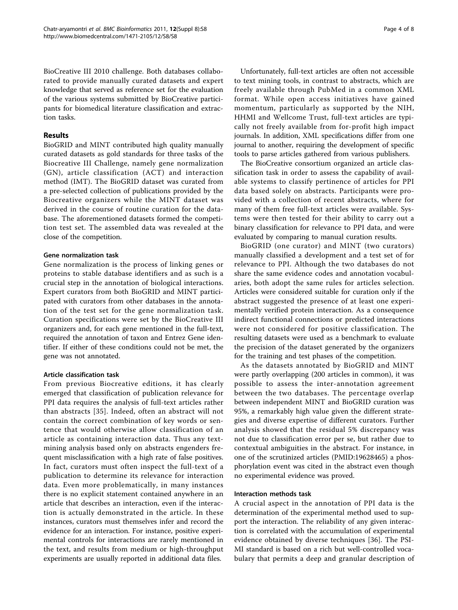BioCreative III 2010 challenge. Both databases collaborated to provide manually curated datasets and expert knowledge that served as reference set for the evaluation of the various systems submitted by BioCreative participants for biomedical literature classification and extraction tasks.

## Results

BioGRID and MINT contributed high quality manually curated datasets as gold standards for three tasks of the Biocreative III Challenge, namely gene normalization (GN), article classification (ACT) and interaction method (IMT). The BioGRID dataset was curated from a pre-selected collection of publications provided by the Biocreative organizers while the MINT dataset was derived in the course of routine curation for the database. The aforementioned datasets formed the competition test set. The assembled data was revealed at the close of the competition.

### Gene normalization task

Gene normalization is the process of linking genes or proteins to stable database identifiers and as such is a crucial step in the annotation of biological interactions. Expert curators from both BioGRID and MINT participated with curators from other databases in the annotation of the test set for the gene normalization task. Curation specifications were set by the BioCreative III organizers and, for each gene mentioned in the full-text, required the annotation of taxon and Entrez Gene identifier. If either of these conditions could not be met, the gene was not annotated.

#### Article classification task

From previous Biocreative editions, it has clearly emerged that classification of publication relevance for PPI data requires the analysis of full-text articles rather than abstracts [[35\]](#page-7-0). Indeed, often an abstract will not contain the correct combination of key words or sentence that would otherwise allow classification of an article as containing interaction data. Thus any textmining analysis based only on abstracts engenders frequent misclassification with a high rate of false positives. In fact, curators must often inspect the full-text of a publication to determine its relevance for interaction data. Even more problematically, in many instances there is no explicit statement contained anywhere in an article that describes an interaction, even if the interaction is actually demonstrated in the article. In these instances, curators must themselves infer and record the evidence for an interaction. For instance, positive experimental controls for interactions are rarely mentioned in the text, and results from medium or high-throughput experiments are usually reported in additional data files.

Unfortunately, full-text articles are often not accessible to text mining tools, in contrast to abstracts, which are freely available through PubMed in a common XML format. While open access initiatives have gained momentum, particularly as supported by the NIH, HHMI and Wellcome Trust, full-text articles are typically not freely available from for-profit high impact journals. In addition, XML specifications differ from one journal to another, requiring the development of specific tools to parse articles gathered from various publishers.

The BioCreative consortium organized an article classification task in order to assess the capability of available systems to classify pertinence of articles for PPI data based solely on abstracts. Participants were provided with a collection of recent abstracts, where for many of them free full-text articles were available. Systems were then tested for their ability to carry out a binary classification for relevance to PPI data, and were evaluated by comparing to manual curation results.

BioGRID (one curator) and MINT (two curators) manually classified a development and a test set of for relevance to PPI. Although the two databases do not share the same evidence codes and annotation vocabularies, both adopt the same rules for articles selection. Articles were considered suitable for curation only if the abstract suggested the presence of at least one experimentally verified protein interaction. As a consequence indirect functional connections or predicted interactions were not considered for positive classification. The resulting datasets were used as a benchmark to evaluate the precision of the dataset generated by the organizers for the training and test phases of the competition.

As the datasets annotated by BioGRID and MINT were partly overlapping (200 articles in common), it was possible to assess the inter-annotation agreement between the two databases. The percentage overlap between independent MINT and BioGRID curation was 95%, a remarkably high value given the different strategies and diverse expertise of different curators. Further analysis showed that the residual 5% discrepancy was not due to classification error per se, but rather due to contextual ambiguities in the abstract. For instance, in one of the scrutinized articles (PMID:19628465) a phosphorylation event was cited in the abstract even though no experimental evidence was proved.

### Interaction methods task

A crucial aspect in the annotation of PPI data is the determination of the experimental method used to support the interaction. The reliability of any given interaction is correlated with the accumulation of experimental evidence obtained by diverse techniques [[36\]](#page-7-0). The PSI-MI standard is based on a rich but well-controlled vocabulary that permits a deep and granular description of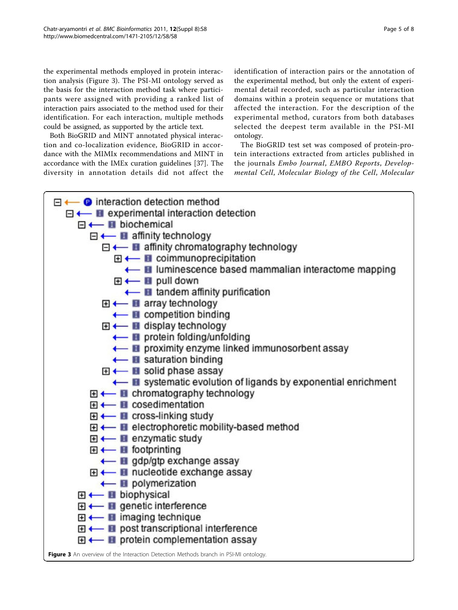the experimental methods employed in protein interaction analysis (Figure 3). The PSI-MI ontology served as the basis for the interaction method task where participants were assigned with providing a ranked list of interaction pairs associated to the method used for their identification. For each interaction, multiple methods could be assigned, as supported by the article text.

Both BioGRID and MINT annotated physical interaction and co-localization evidence, BioGRID in accordance with the MIMIx recommendations and MINT in accordance with the IMEx curation guidelines [[37](#page-7-0)]. The diversity in annotation details did not affect the identification of interaction pairs or the annotation of the experimental method, but only the extent of experimental detail recorded, such as particular interaction domains within a protein sequence or mutations that affected the interaction. For the description of the experimental method, curators from both databases selected the deepest term available in the PSI-MI ontology.

The BioGRID test set was composed of protein-protein interactions extracted from articles published in the journals Embo Journal, EMBO Reports, Developmental Cell, Molecular Biology of the Cell, Molecular

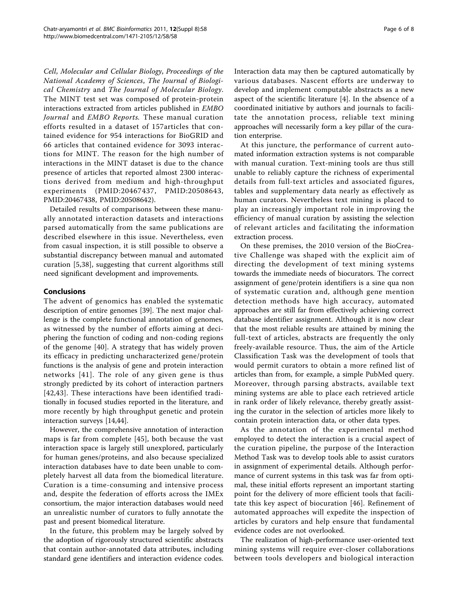Cell, Molecular and Cellular Biology, Proceedings of the National Academy of Sciences, The Journal of Biological Chemistry and The Journal of Molecular Biology. The MINT test set was composed of protein-protein interactions extracted from articles published in EMBO Journal and EMBO Reports. These manual curation efforts resulted in a dataset of 157articles that contained evidence for 954 interactions for BioGRID and 66 articles that contained evidence for 3093 interactions for MINT. The reason for the high number of interactions in the MINT dataset is due to the chance presence of articles that reported almost 2300 interactions derived from medium and high-throughput experiments (PMID:20467437, PMID:20508643, PMID:20467438, PMID:20508642).

Detailed results of comparisons between these manually annotated interaction datasets and interactions parsed automatically from the same publications are described elsewhere in this issue. Nevertheless, even from casual inspection, it is still possible to observe a substantial discrepancy between manual and automated curation [[5,38](#page-7-0)], suggesting that current algorithms still need significant development and improvements.

# Conclusions

The advent of genomics has enabled the systematic description of entire genomes [\[39\]](#page-7-0). The next major challenge is the complete functional annotation of genomes, as witnessed by the number of efforts aiming at deciphering the function of coding and non-coding regions of the genome [[40](#page-7-0)]. A strategy that has widely proven its efficacy in predicting uncharacterized gene/protein functions is the analysis of gene and protein interaction networks [[41\]](#page-7-0). The role of any given gene is thus strongly predicted by its cohort of interaction partners [[42](#page-7-0),[43](#page-7-0)]. These interactions have been identified traditionally in focused studies reported in the literature, and more recently by high throughput genetic and protein interaction surveys [\[14,44\]](#page-7-0).

However, the comprehensive annotation of interaction maps is far from complete [[45](#page-7-0)], both because the vast interaction space is largely still unexplored, particularly for human genes/proteins, and also because specialized interaction databases have to date been unable to completely harvest all data from the biomedical literature. Curation is a time-consuming and intensive process and, despite the federation of efforts across the IMEx consortium, the major interaction databases would need an unrealistic number of curators to fully annotate the past and present biomedical literature.

In the future, this problem may be largely solved by the adoption of rigorously structured scientific abstracts that contain author-annotated data attributes, including standard gene identifiers and interaction evidence codes.

Interaction data may then be captured automatically by various databases. Nascent efforts are underway to develop and implement computable abstracts as a new aspect of the scientific literature [\[4](#page-7-0)]. In the absence of a coordinated initiative by authors and journals to facilitate the annotation process, reliable text mining approaches will necessarily form a key pillar of the curation enterprise.

At this juncture, the performance of current automated information extraction systems is not comparable with manual curation. Text-mining tools are thus still unable to reliably capture the richness of experimental details from full-text articles and associated figures, tables and supplementary data nearly as effectively as human curators. Nevertheless text mining is placed to play an increasingly important role in improving the efficiency of manual curation by assisting the selection of relevant articles and facilitating the information extraction process.

On these premises, the 2010 version of the BioCreative Challenge was shaped with the explicit aim of directing the development of text mining systems towards the immediate needs of biocurators. The correct assignment of gene/protein identifiers is a sine qua non of systematic curation and, although gene mention detection methods have high accuracy, automated approaches are still far from effectively achieving correct database identifier assignment. Although it is now clear that the most reliable results are attained by mining the full-text of articles, abstracts are frequently the only freely-available resource. Thus, the aim of the Article Classification Task was the development of tools that would permit curators to obtain a more refined list of articles than from, for example, a simple PubMed query. Moreover, through parsing abstracts, available text mining systems are able to place each retrieved article in rank order of likely relevance, thereby greatly assisting the curator in the selection of articles more likely to contain protein interaction data, or other data types.

As the annotation of the experimental method employed to detect the interaction is a crucial aspect of the curation pipeline, the purpose of the Interaction Method Task was to develop tools able to assist curators in assignment of experimental details. Although performance of current systems in this task was far from optimal, these initial efforts represent an important starting point for the delivery of more efficient tools that facilitate this key aspect of biocuration [[46\]](#page-7-0). Refinement of automated approaches will expedite the inspection of articles by curators and help ensure that fundamental evidence codes are not overlooked.

The realization of high-performance user-oriented text mining systems will require ever-closer collaborations between tools developers and biological interaction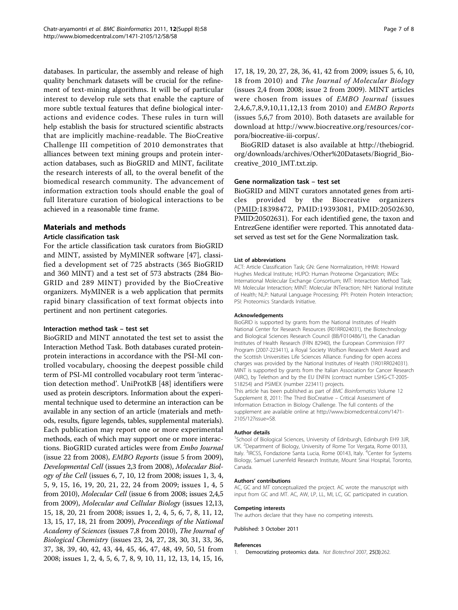<span id="page-6-0"></span>databases. In particular, the assembly and release of high quality benchmark datasets will be crucial for the refinement of text-mining algorithms. It will be of particular interest to develop rule sets that enable the capture of more subtle textual features that define biological interactions and evidence codes. These rules in turn will help establish the basis for structured scientific abstracts that are implicitly machine-readable. The BioCreative Challenge III competition of 2010 demonstrates that alliances between text mining groups and protein interaction databases, such as BioGRID and MINT, facilitate the research interests of all, to the overal benefit of the biomedical research community. The advancement of information extraction tools should enable the goal of full literature curation of biological interactions to be achieved in a reasonable time frame.

# Materials and methods

### Article classification task

For the article classification task curators from BioGRID and MINT, assisted by MyMINER software [\[47](#page-7-0)], classified a development set of 725 abstracts (365 BioGRID and 360 MINT) and a test set of 573 abstracts (284 Bio-GRID and 289 MINT) provided by the BioCreative organizers. MyMINER is a web application that permits rapid binary classification of text format objects into pertinent and non pertinent categories.

### Interaction method task – test set

BioGRID and MINT annotated the test set to assist the Interaction Method Task. Both databases curated proteinprotein interactions in accordance with the PSI-MI controlled vocabulary, choosing the deepest possible child term of PSI-MI controlled vocabulary root term 'interaction detection method'. UniProtKB [[48\]](#page-7-0) identifiers were used as protein descriptors. Information about the experimental technique used to determine an interaction can be available in any section of an article (materials and methods, results, figure legends, tables, supplemental materials). Each publication may report one or more experimental methods, each of which may support one or more interactions. BioGRID curated articles were from Embo Journal (issue 22 from 2008), EMBO Reports (issue 5 from 2009), Developmental Cell (issues 2,3 from 2008), Molecular Biology of the Cell (issues 6, 7, 10, 12 from 2008; issues 1, 3, 4, 5, 9, 15, 16, 19, 20, 21, 22, 24 from 2009; issues 1, 4, 5 from 2010), Molecular Cell (issue 6 from 2008; issues 2,4,5 from 2009), Molecular and Cellular Biology (issues 12,13, 15, 18, 20, 21 from 2008; issues 1, 2, 4, 5, 6, 7, 8, 11, 12, 13, 15, 17, 18, 21 from 2009), Proceedings of the National Academy of Sciences (issues 7,8 from 2010), The Journal of Biological Chemistry (issues 23, 24, 27, 28, 30, 31, 33, 36, 37, 38, 39, 40, 42, 43, 44, 45, 46, 47, 48, 49, 50, 51 from 2008; issues 1, 2, 4, 5, 6, 7, 8, 9, 10, 11, 12, 13, 14, 15, 16,

17, 18, 19, 20, 27, 28, 36, 41, 42 from 2009; issues 5, 6, 10, 18 from 2010) and The Journal of Molecular Biology (issues 2,4 from 2008; issue 2 from 2009). MINT articles were chosen from issues of EMBO Journal (issues 2,4,6,7,8,9,10,11,12,13 from 2010) and EMBO Reports (issues 5,6,7 from 2010). Both datasets are available for download at [http://www.biocreative.org/resources/cor](http://www.biocreative.org/resources/corpora/biocreative-iii-corpus/)[pora/biocreative-iii-corpus/.](http://www.biocreative.org/resources/corpora/biocreative-iii-corpus/)

BioGRID dataset is also available at [http://thebiogrid.](http://thebiogrid.org/downloads/archives/Other%20Datasets/Biogrid_Biocreative_2010_IMT.txt.zip) [org/downloads/archives/Other%20Datasets/Biogrid\\_Bio](http://thebiogrid.org/downloads/archives/Other%20Datasets/Biogrid_Biocreative_2010_IMT.txt.zip)[creative\\_2010\\_IMT.txt.zip](http://thebiogrid.org/downloads/archives/Other%20Datasets/Biogrid_Biocreative_2010_IMT.txt.zip).

### Gene normalization task – test set

BioGRID and MINT curators annotated genes from articles provided by the Biocreative organizers (PMID:18398472, PMID:19393081, PMID:20502630, PMID:20502631). For each identified gene, the taxon and EntrezGene identifier were reported. This annotated dataset served as test set for the Gene Normalization task.

#### List of abbreviations

ACT: Article Classification Task; GN: Gene Normalization, HHMI: Howard Hughes Medical Institute; HUPO: Human Proteome Organization; IMEx: International Molecular Exchange Consortium; IMT: Interaction Method Task; MI: Molecular Interaction; MINT: Molecular INTeraction; NIH: National Institute of Health; NLP: Natural Language Processing; PPI: Protein Protein Interaction; PSI: Proteomics Standards Initiative.

#### Acknowledgements

BioGRID is supported by grants from the National Institutes of Health National Center for Research Resources (R01RR024031), the Biotechnology and Biological Sciences Research Council (BB/F010486/1), the Canadian Institutes of Health Research (FRN 82940), the European Commission FP7 Program (2007-223411), a Royal Society Wolfson Research Merit Award and the Scottish Universities Life Sciences Alliance. Funding for open access charges was provided by the National Institutes of Health (1R01RR024031). MINT is supported by grants from the Italian Association for Cancer Research (AIRC), by Telethon and by the EU ENFIN (contract number LSHG-CT-2005- 518254) and PSIMEX (number 223411) projects.

This article has been published as part of BMC Bioinformatics Volume 12 Supplement 8, 2011: The Third BioCreative – Critical Assessment of Information Extraction in Biology Challenge. The full contents of the supplement are available online at [http://www.biomedcentral.com/1471-](http://www.biomedcentral.com/1471-2105/12?issue=S8) [2105/12?issue=S8.](http://www.biomedcentral.com/1471-2105/12?issue=S8)

#### Author details

<sup>1</sup>School of Biological Sciences, University of Edinburgh, Edinburgh EH9 3JR, UK. <sup>2</sup>Department of Biology, University of Rome Tor Vergata, Rome 00133, Italy. <sup>3</sup>IRCSS, Fondazione Santa Lucia, Rome 00143, Italy. <sup>4</sup>Center for Systems Biology, Samuel Lunenfeld Research Institute, Mount Sinai Hospital, Toronto, Canada.

#### Authors' contributions

AC, GC and MT conceptualized the project. AC wrote the manuscript with input from GC and MT. AC, AW, LP, LL, MI, LC, GC participated in curation.

# Competing interests

The authors declare that they have no competing interests.

Published: 3 October 2011

#### References

Democratizing proteomics data. Nat Biotechnol 2007, 25(3):262.